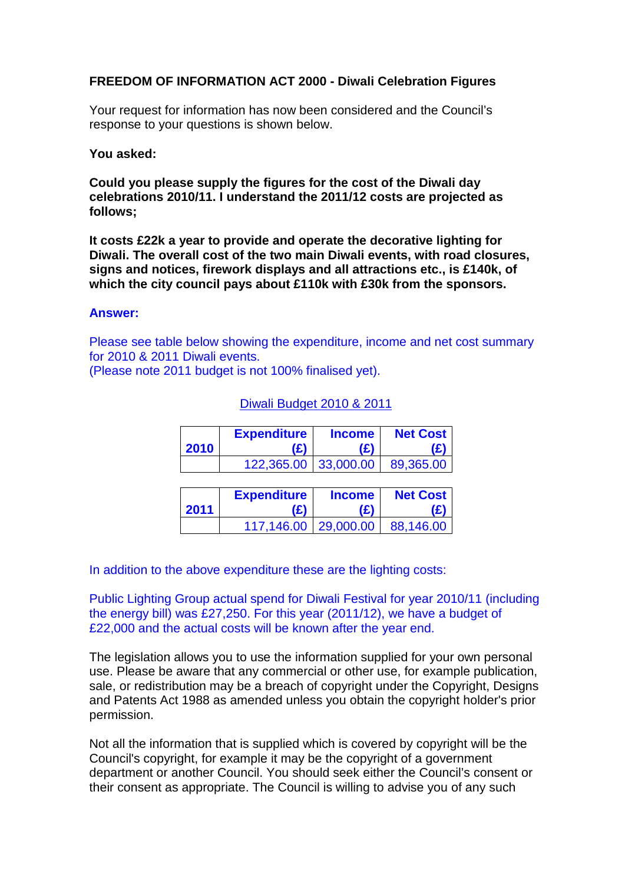## **FREEDOM OF INFORMATION ACT 2000 - Diwali Celebration Figures**

Your request for information has now been considered and the Council's response to your questions is shown below.

## **You asked:**

**Could you please supply the figures for the cost of the Diwali day celebrations 2010/11. I understand the 2011/12 costs are projected as follows;**

**It costs £22k a year to provide and operate the decorative lighting for Diwali. The overall cost of the two main Diwali events, with road closures, signs and notices, firework displays and all attractions etc., is £140k, of which the city council pays about £110k with £30k from the sponsors.**

## **Answer:**

Please see table below showing the expenditure, income and net cost summary for 2010 & 2011 Diwali events.

(Please note 2011 budget is not 100% finalised yet).

| 2010 | <b>Expenditure</b><br>(£) | <b>Income</b><br>(£) | <b>Net Cost</b><br>(£) |
|------|---------------------------|----------------------|------------------------|
|      | 122,365.00                | 33,000.00            | 89,365.00              |
|      |                           |                      |                        |
|      | <b>Expenditure</b>        | <b>Income</b>        | <b>Net Cost</b>        |
| 2011 | (£)                       | (£)                  | £                      |
|      | 117,146.00                | 29,000.00            | 88,146.00              |

## Diwali Budget 2010 & 2011

In addition to the above expenditure these are the lighting costs:

Public Lighting Group actual spend for Diwali Festival for year 2010/11 (including the energy bill) was £27,250. For this year (2011/12), we have a budget of £22,000 and the actual costs will be known after the year end.

The legislation allows you to use the information supplied for your own personal use. Please be aware that any commercial or other use, for example publication, sale, or redistribution may be a breach of copyright under the Copyright, Designs and Patents Act 1988 as amended unless you obtain the copyright holder's prior permission.

Not all the information that is supplied which is covered by copyright will be the Council's copyright, for example it may be the copyright of a government department or another Council. You should seek either the Council's consent or their consent as appropriate. The Council is willing to advise you of any such